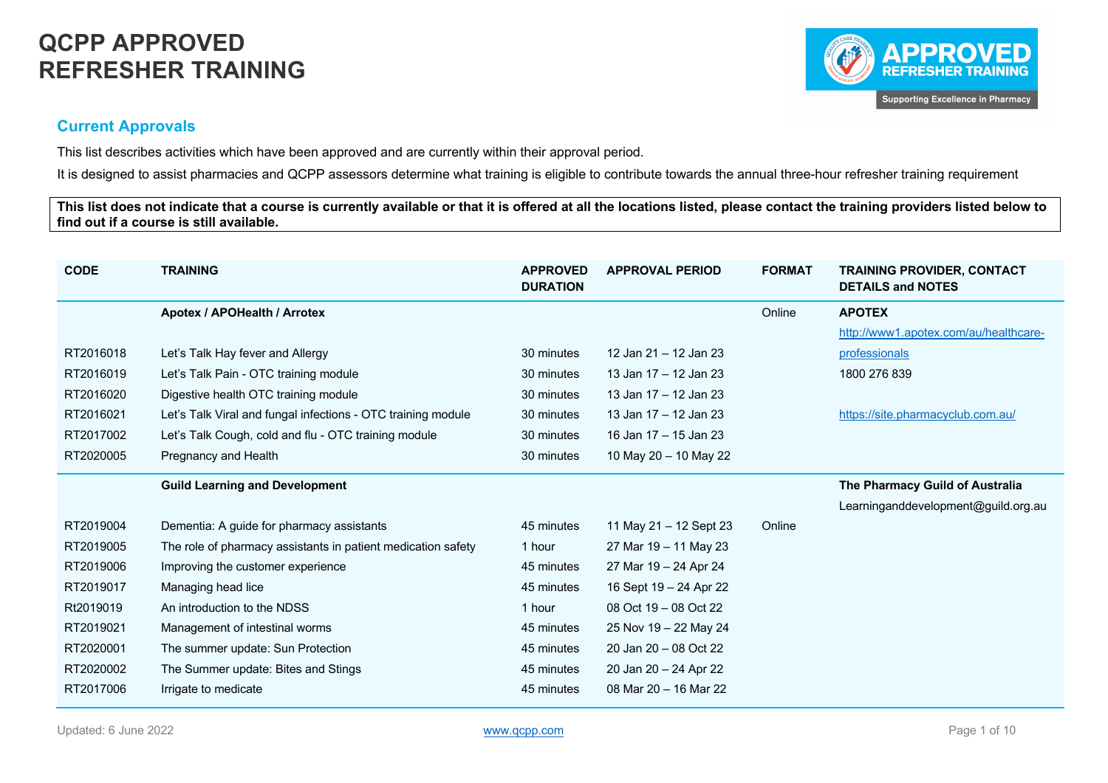

#### **Current Approvals**

This list describes activities which have been approved and are currently within their approval period.

It is designed to assist pharmacies and QCPP assessors determine what training is eligible to contribute towards the annual three-hour refresher training requirement

**This list does not indicate that a course is currently available or that it is offered at all the locations listed, please contact the training providers listed below to find out if a course is still available.**

| <b>CODE</b> | <b>TRAINING</b>                                              | <b>APPROVED</b><br><b>DURATION</b> | <b>APPROVAL PERIOD</b> | <b>FORMAT</b> | <b>TRAINING PROVIDER, CONTACT</b><br><b>DETAILS and NOTES</b> |
|-------------|--------------------------------------------------------------|------------------------------------|------------------------|---------------|---------------------------------------------------------------|
|             | Apotex / APOHealth / Arrotex                                 |                                    |                        | Online        | <b>APOTEX</b>                                                 |
|             |                                                              |                                    |                        |               | http://www1.apotex.com/au/healthcare-                         |
| RT2016018   | Let's Talk Hay fever and Allergy                             | 30 minutes                         | 12 Jan 21 - 12 Jan 23  |               | professionals                                                 |
| RT2016019   | Let's Talk Pain - OTC training module                        | 30 minutes                         | 13 Jan 17 – 12 Jan 23  |               | 1800 276 839                                                  |
| RT2016020   | Digestive health OTC training module                         | 30 minutes                         | 13 Jan 17 - 12 Jan 23  |               |                                                               |
| RT2016021   | Let's Talk Viral and fungal infections - OTC training module | 30 minutes                         | 13 Jan 17 - 12 Jan 23  |               | https://site.pharmacyclub.com.au/                             |
| RT2017002   | Let's Talk Cough, cold and flu - OTC training module         | 30 minutes                         | 16 Jan 17 - 15 Jan 23  |               |                                                               |
| RT2020005   | Pregnancy and Health                                         | 30 minutes                         | 10 May 20 - 10 May 22  |               |                                                               |
|             | <b>Guild Learning and Development</b>                        |                                    |                        |               | The Pharmacy Guild of Australia                               |
|             |                                                              |                                    |                        |               | Learninganddevelopment@guild.org.au                           |
| RT2019004   | Dementia: A guide for pharmacy assistants                    | 45 minutes                         | 11 May 21 – 12 Sept 23 | Online        |                                                               |
| RT2019005   | The role of pharmacy assistants in patient medication safety | 1 hour                             | 27 Mar 19 – 11 May 23  |               |                                                               |
| RT2019006   | Improving the customer experience                            | 45 minutes                         | 27 Mar 19 - 24 Apr 24  |               |                                                               |
| RT2019017   | Managing head lice                                           | 45 minutes                         | 16 Sept 19 - 24 Apr 22 |               |                                                               |
| Rt2019019   | An introduction to the NDSS                                  | 1 hour                             | 08 Oct 19 - 08 Oct 22  |               |                                                               |
| RT2019021   | Management of intestinal worms                               | 45 minutes                         | 25 Nov 19 - 22 May 24  |               |                                                               |
| RT2020001   | The summer update: Sun Protection                            | 45 minutes                         | 20 Jan 20 - 08 Oct 22  |               |                                                               |
| RT2020002   | The Summer update: Bites and Stings                          | 45 minutes                         | 20 Jan 20 - 24 Apr 22  |               |                                                               |
| RT2017006   | Irrigate to medicate                                         | 45 minutes                         | 08 Mar 20 - 16 Mar 22  |               |                                                               |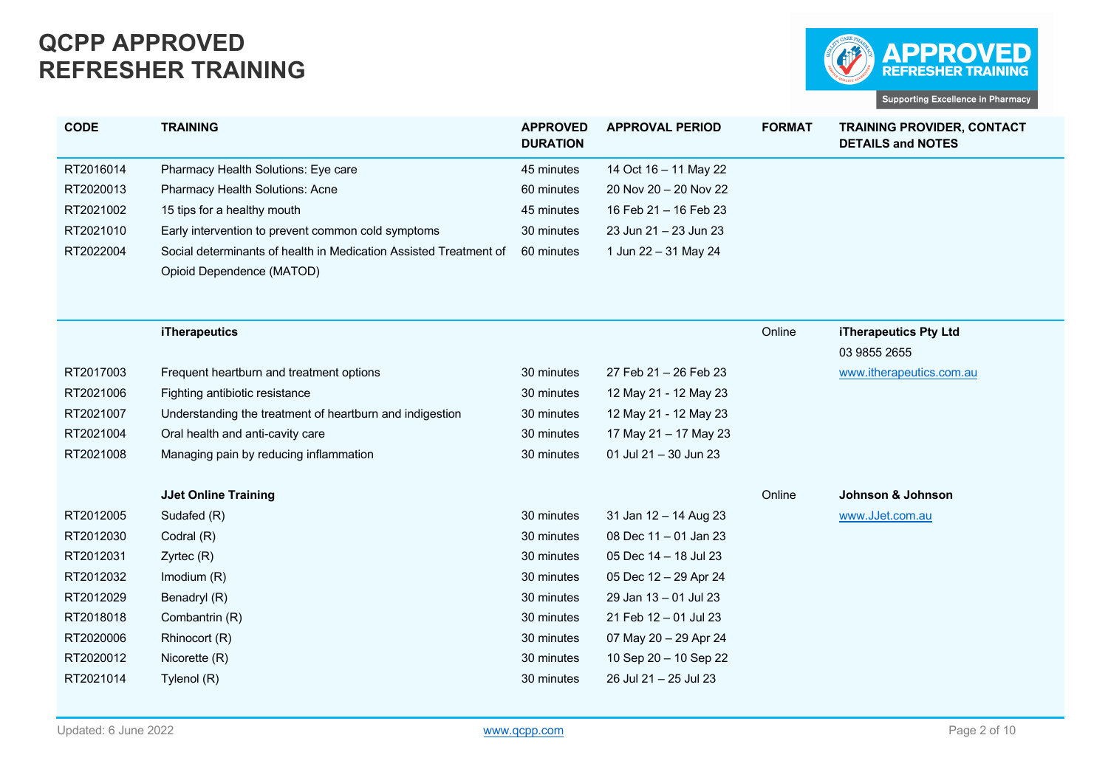

| <b>CODE</b> | <b>TRAINING</b>                                                                              | <b>APPROVED</b><br><b>DURATION</b> | <b>APPROVAL PERIOD</b>                         | <b>FORMAT</b> | <b>TRAINING PROVIDER, CONTACT</b><br><b>DETAILS and NOTES</b> |
|-------------|----------------------------------------------------------------------------------------------|------------------------------------|------------------------------------------------|---------------|---------------------------------------------------------------|
| RT2016014   | Pharmacy Health Solutions: Eye care                                                          | 45 minutes                         | 14 Oct 16 - 11 May 22                          |               |                                                               |
| RT2020013   | Pharmacy Health Solutions: Acne                                                              | 60 minutes                         | 20 Nov 20 - 20 Nov 22                          |               |                                                               |
| RT2021002   | 15 tips for a healthy mouth                                                                  | 45 minutes                         | 16 Feb 21 - 16 Feb 23                          |               |                                                               |
| RT2021010   | Early intervention to prevent common cold symptoms                                           | 30 minutes                         | 23 Jun 21 - 23 Jun 23                          |               |                                                               |
| RT2022004   | Social determinants of health in Medication Assisted Treatment of                            | 60 minutes                         | 1 Jun 22 - 31 May 24                           |               |                                                               |
|             | Opioid Dependence (MATOD)                                                                    |                                    |                                                |               |                                                               |
|             |                                                                                              |                                    |                                                |               |                                                               |
|             | <b>iTherapeutics</b>                                                                         |                                    |                                                | Online        | iTherapeutics Pty Ltd                                         |
|             |                                                                                              |                                    |                                                |               | 03 9855 2655                                                  |
| RT2017003   | Frequent heartburn and treatment options                                                     | 30 minutes                         | 27 Feb 21 - 26 Feb 23                          |               | www.itherapeutics.com.au                                      |
| RT2021006   | Fighting antibiotic resistance                                                               | 30 minutes                         | 12 May 21 - 12 May 23                          |               |                                                               |
| RT2021007   |                                                                                              | 30 minutes                         |                                                |               |                                                               |
| RT2021004   | Understanding the treatment of heartburn and indigestion<br>Oral health and anti-cavity care | 30 minutes                         | 12 May 21 - 12 May 23<br>17 May 21 - 17 May 23 |               |                                                               |
| RT2021008   | Managing pain by reducing inflammation                                                       | 30 minutes                         | 01 Jul 21 - 30 Jun 23                          |               |                                                               |
|             |                                                                                              |                                    |                                                |               |                                                               |
|             | <b>JJet Online Training</b>                                                                  |                                    |                                                | Online        | Johnson & Johnson                                             |
| RT2012005   | Sudafed (R)                                                                                  | 30 minutes                         | 31 Jan 12 - 14 Aug 23                          |               | www.JJet.com.au                                               |
| RT2012030   | Codral (R)                                                                                   | 30 minutes                         | 08 Dec 11 - 01 Jan 23                          |               |                                                               |
| RT2012031   | $Z$ yrtec $(R)$                                                                              | 30 minutes                         | 05 Dec 14 - 18 Jul 23                          |               |                                                               |
| RT2012032   | Imodium (R)                                                                                  | 30 minutes                         | 05 Dec 12 - 29 Apr 24                          |               |                                                               |
| RT2012029   | Benadryl (R)                                                                                 | 30 minutes                         | 29 Jan 13 - 01 Jul 23                          |               |                                                               |
| RT2018018   | Combantrin (R)                                                                               | 30 minutes                         | 21 Feb 12 - 01 Jul 23                          |               |                                                               |
| RT2020006   | Rhinocort (R)                                                                                | 30 minutes                         | 07 May 20 - 29 Apr 24                          |               |                                                               |
| RT2020012   | Nicorette (R)                                                                                | 30 minutes                         | 10 Sep 20 - 10 Sep 22                          |               |                                                               |
| RT2021014   | Tylenol (R)                                                                                  | 30 minutes                         | 26 Jul 21 - 25 Jul 23                          |               |                                                               |
|             |                                                                                              |                                    |                                                |               |                                                               |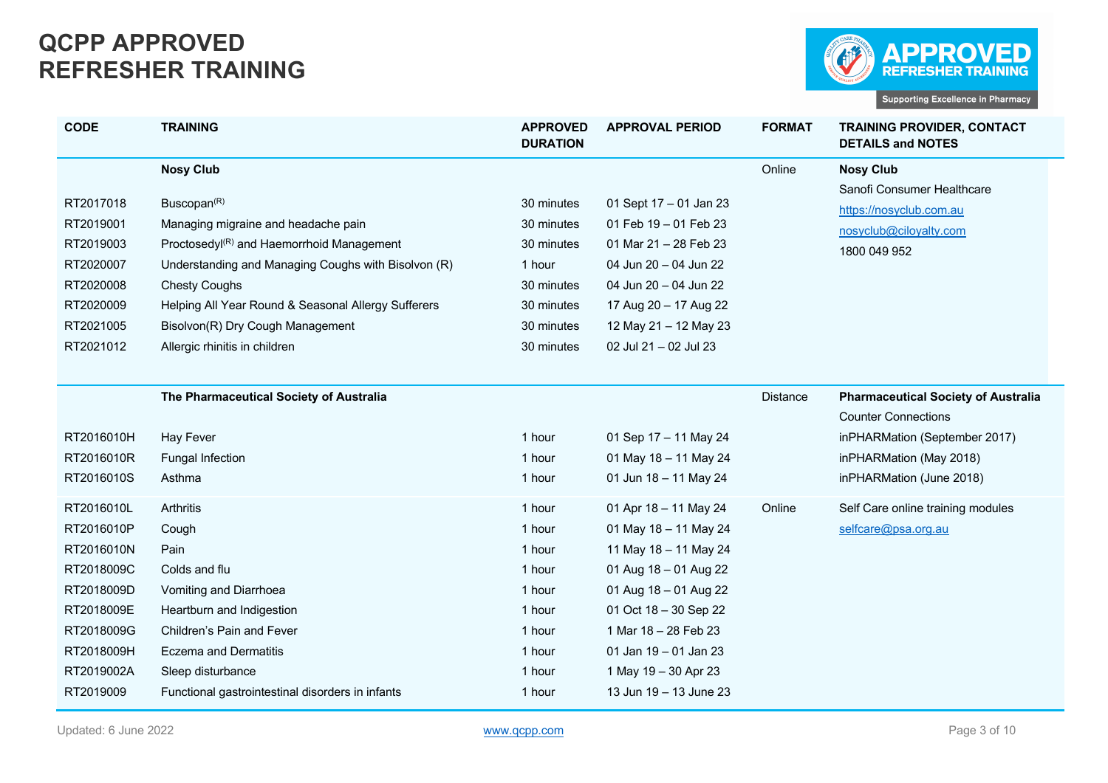

| <b>CODE</b>                                                                                                                             | <b>TRAINING</b>                                                                                                                                                                                                                                                                                                                                        | <b>APPROVED</b><br><b>DURATION</b>                                                                       | <b>APPROVAL PERIOD</b>                                                                                                                                                                                                                                | <b>FORMAT</b> | <b>TRAINING PROVIDER, CONTACT</b><br><b>DETAILS and NOTES</b>                                                                                                    |
|-----------------------------------------------------------------------------------------------------------------------------------------|--------------------------------------------------------------------------------------------------------------------------------------------------------------------------------------------------------------------------------------------------------------------------------------------------------------------------------------------------------|----------------------------------------------------------------------------------------------------------|-------------------------------------------------------------------------------------------------------------------------------------------------------------------------------------------------------------------------------------------------------|---------------|------------------------------------------------------------------------------------------------------------------------------------------------------------------|
| RT2017018<br>RT2019001<br>RT2019003<br>RT2020007<br>RT2020008<br>RT2020009<br>RT2021005<br>RT2021012                                    | <b>Nosy Club</b><br>Buscopan <sup>(R)</sup><br>Managing migraine and headache pain<br>Proctosedyl <sup>(R)</sup> and Haemorrhoid Management<br>Understanding and Managing Coughs with Bisolvon (R)<br><b>Chesty Coughs</b><br>Helping All Year Round & Seasonal Allergy Sufferers<br>Bisolvon(R) Dry Cough Management<br>Allergic rhinitis in children | 30 minutes<br>30 minutes<br>30 minutes<br>1 hour<br>30 minutes<br>30 minutes<br>30 minutes<br>30 minutes | 01 Sept 17 - 01 Jan 23<br>01 Feb 19 - 01 Feb 23<br>01 Mar 21 - 28 Feb 23<br>04 Jun 20 - 04 Jun 22<br>04 Jun 20 - 04 Jun 22<br>17 Aug 20 - 17 Aug 22<br>12 May 21 - 12 May 23<br>02 Jul 21 - 02 Jul 23                                                 | Online        | <b>Nosy Club</b><br>Sanofi Consumer Healthcare<br>https://nosyclub.com.au<br>nosyclub@ciloyalty.com<br>1800 049 952                                              |
| RT2016010H<br>RT2016010R<br>RT2016010S                                                                                                  | The Pharmaceutical Society of Australia<br><b>Hay Fever</b><br>Fungal Infection<br>Asthma                                                                                                                                                                                                                                                              | 1 hour<br>1 hour<br>1 hour                                                                               | 01 Sep 17 - 11 May 24<br>01 May 18 - 11 May 24<br>01 Jun 18 - 11 May 24                                                                                                                                                                               | Distance      | <b>Pharmaceutical Society of Australia</b><br><b>Counter Connections</b><br>inPHARMation (September 2017)<br>inPHARMation (May 2018)<br>inPHARMation (June 2018) |
| RT2016010L<br>RT2016010P<br>RT2016010N<br>RT2018009C<br>RT2018009D<br>RT2018009E<br>RT2018009G<br>RT2018009H<br>RT2019002A<br>RT2019009 | Arthritis<br>Cough<br>Pain<br>Colds and flu<br>Vomiting and Diarrhoea<br>Heartburn and Indigestion<br>Children's Pain and Fever<br><b>Eczema and Dermatitis</b><br>Sleep disturbance<br>Functional gastrointestinal disorders in infants                                                                                                               | 1 hour<br>1 hour<br>1 hour<br>1 hour<br>1 hour<br>1 hour<br>1 hour<br>1 hour<br>1 hour<br>1 hour         | 01 Apr 18 - 11 May 24<br>01 May 18 - 11 May 24<br>11 May 18 - 11 May 24<br>01 Aug 18 - 01 Aug 22<br>01 Aug 18 - 01 Aug 22<br>01 Oct 18 - 30 Sep 22<br>1 Mar 18 - 28 Feb 23<br>01 Jan 19 - 01 Jan 23<br>1 May 19 - 30 Apr 23<br>13 Jun 19 - 13 June 23 | Online        | Self Care online training modules<br>selfcare@psa.org.au                                                                                                         |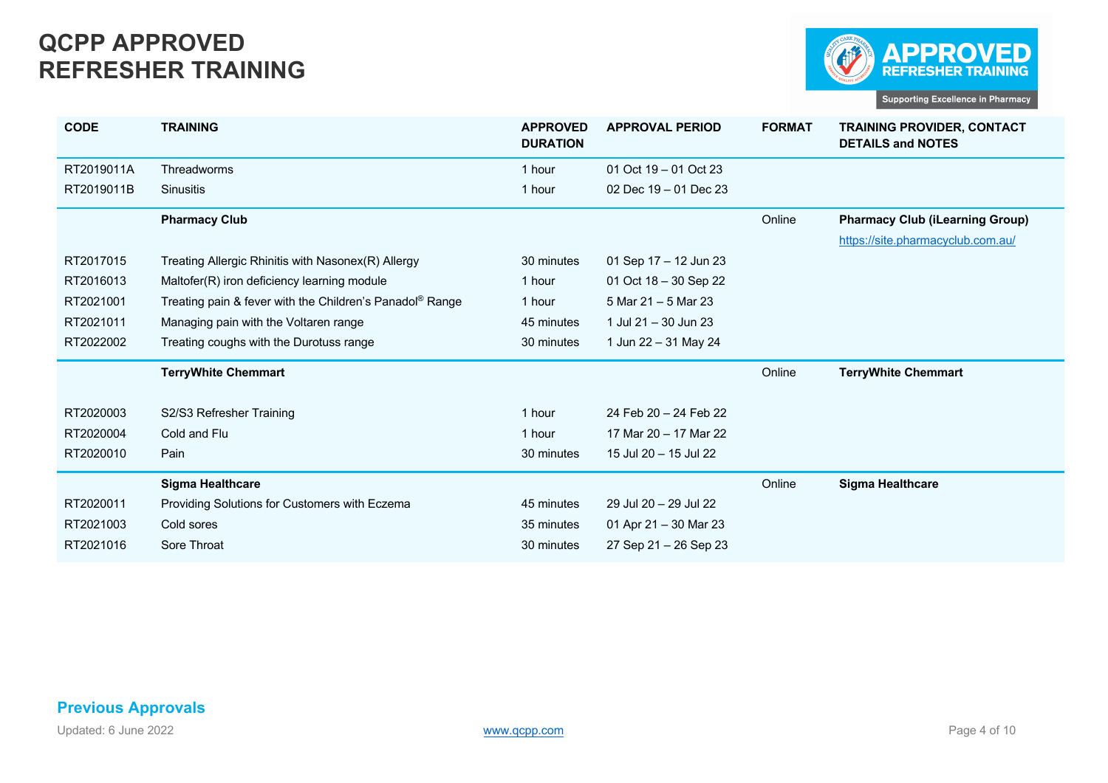

| <b>CODE</b> | <b>TRAINING</b>                                                      | <b>APPROVED</b><br><b>DURATION</b> | <b>APPROVAL PERIOD</b>  | <b>FORMAT</b> | <b>TRAINING PROVIDER, CONTACT</b><br><b>DETAILS and NOTES</b> |
|-------------|----------------------------------------------------------------------|------------------------------------|-------------------------|---------------|---------------------------------------------------------------|
| RT2019011A  | Threadworms                                                          | 1 hour                             | 01 Oct $19 - 01$ Oct 23 |               |                                                               |
| RT2019011B  | <b>Sinusitis</b>                                                     | 1 hour                             | 02 Dec 19 - 01 Dec 23   |               |                                                               |
|             | <b>Pharmacy Club</b>                                                 |                                    |                         | Online        | <b>Pharmacy Club (iLearning Group)</b>                        |
|             |                                                                      |                                    |                         |               | https://site.pharmacyclub.com.au/                             |
| RT2017015   | Treating Allergic Rhinitis with Nasonex(R) Allergy                   | 30 minutes                         | 01 Sep $17 - 12$ Jun 23 |               |                                                               |
| RT2016013   | Maltofer(R) iron deficiency learning module                          | 1 hour                             | 01 Oct 18 - 30 Sep 22   |               |                                                               |
| RT2021001   | Treating pain & fever with the Children's Panadol <sup>®</sup> Range | 1 hour                             | 5 Mar 21 – 5 Mar 23     |               |                                                               |
| RT2021011   | Managing pain with the Voltaren range                                | 45 minutes                         | 1 Jul 21 - 30 Jun 23    |               |                                                               |
| RT2022002   | Treating coughs with the Durotuss range                              | 30 minutes                         | 1 Jun 22 - 31 May 24    |               |                                                               |
|             | <b>TerryWhite Chemmart</b>                                           |                                    |                         | Online        | <b>TerryWhite Chemmart</b>                                    |
| RT2020003   | S2/S3 Refresher Training                                             | 1 hour                             | 24 Feb 20 - 24 Feb 22   |               |                                                               |
| RT2020004   | Cold and Flu                                                         | 1 hour                             | 17 Mar 20 - 17 Mar 22   |               |                                                               |
| RT2020010   | Pain                                                                 | 30 minutes                         | 15 Jul 20 - 15 Jul 22   |               |                                                               |
|             | <b>Sigma Healthcare</b>                                              |                                    |                         | Online        | <b>Sigma Healthcare</b>                                       |
| RT2020011   | Providing Solutions for Customers with Eczema                        | 45 minutes                         | 29 Jul 20 - 29 Jul 22   |               |                                                               |
| RT2021003   | Cold sores                                                           | 35 minutes                         | 01 Apr 21 - 30 Mar 23   |               |                                                               |
| RT2021016   | Sore Throat                                                          | 30 minutes                         | 27 Sep 21 - 26 Sep 23   |               |                                                               |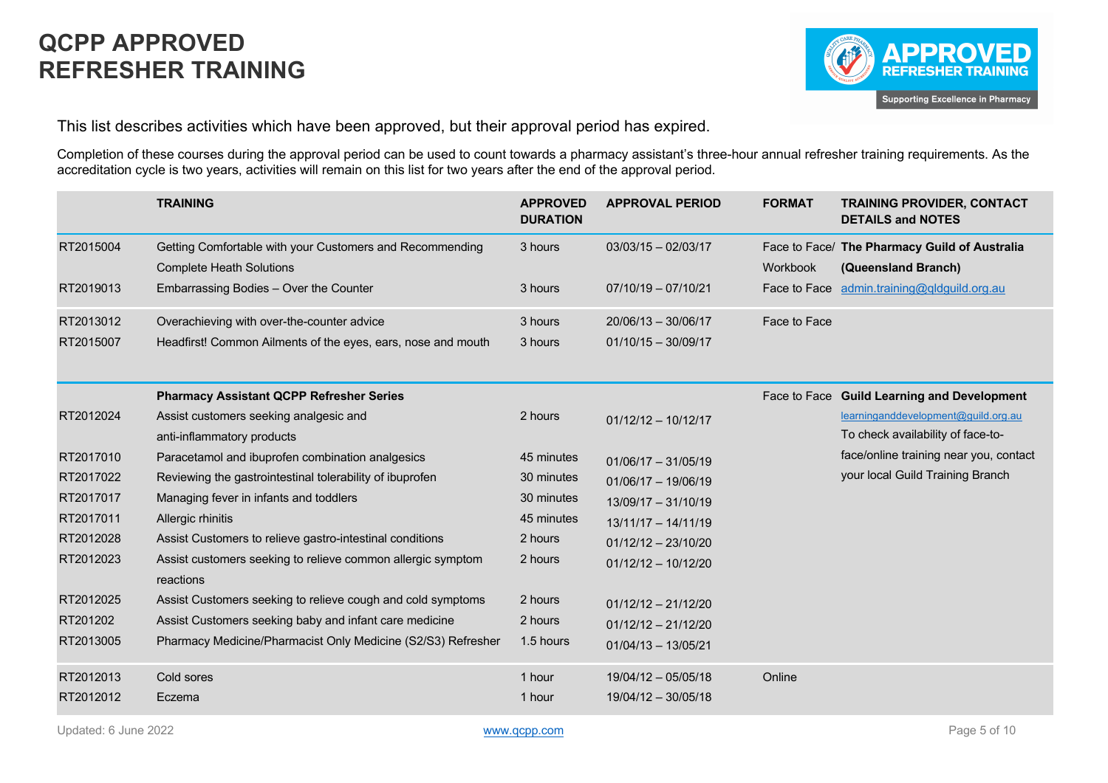

This list describes activities which have been approved, but their approval period has expired.

Completion of these courses during the approval period can be used to count towards a pharmacy assistant's three-hour annual refresher training requirements. As the accreditation cycle is two years, activities will remain on this list for two years after the end of the approval period.

|           | <b>TRAINING</b>                                                          | <b>APPROVED</b><br><b>DURATION</b> | <b>APPROVAL PERIOD</b> | <b>FORMAT</b> | <b>TRAINING PROVIDER, CONTACT</b><br><b>DETAILS and NOTES</b> |
|-----------|--------------------------------------------------------------------------|------------------------------------|------------------------|---------------|---------------------------------------------------------------|
| RT2015004 | Getting Comfortable with your Customers and Recommending                 | 3 hours                            | $03/03/15 - 02/03/17$  |               | Face to Face/ The Pharmacy Guild of Australia                 |
|           | <b>Complete Heath Solutions</b>                                          |                                    |                        | Workbook      | (Queensland Branch)                                           |
| RT2019013 | Embarrassing Bodies - Over the Counter                                   | 3 hours                            | $07/10/19 - 07/10/21$  |               | Face to Face admin.training@qldguild.org.au                   |
| RT2013012 | Overachieving with over-the-counter advice                               | 3 hours                            | $20/06/13 - 30/06/17$  | Face to Face  |                                                               |
| RT2015007 | Headfirst! Common Ailments of the eyes, ears, nose and mouth             | 3 hours                            | $01/10/15 - 30/09/17$  |               |                                                               |
|           | <b>Pharmacy Assistant QCPP Refresher Series</b>                          |                                    |                        |               | Face to Face Guild Learning and Development                   |
| RT2012024 | Assist customers seeking analgesic and                                   | 2 hours                            | $01/12/12 - 10/12/17$  |               | learninganddevelopment@quild.org.au                           |
|           | anti-inflammatory products                                               |                                    |                        |               | To check availability of face-to-                             |
| RT2017010 | Paracetamol and ibuprofen combination analgesics                         | 45 minutes                         | $01/06/17 - 31/05/19$  |               | face/online training near you, contact                        |
| RT2017022 | Reviewing the gastrointestinal tolerability of ibuprofen                 | 30 minutes                         | $01/06/17 - 19/06/19$  |               | your local Guild Training Branch                              |
| RT2017017 | Managing fever in infants and toddlers                                   | 30 minutes                         | $13/09/17 - 31/10/19$  |               |                                                               |
| RT2017011 | Allergic rhinitis                                                        | 45 minutes                         | $13/11/17 - 14/11/19$  |               |                                                               |
| RT2012028 | Assist Customers to relieve gastro-intestinal conditions                 | 2 hours                            | $01/12/12 - 23/10/20$  |               |                                                               |
| RT2012023 | Assist customers seeking to relieve common allergic symptom<br>reactions | 2 hours                            | $01/12/12 - 10/12/20$  |               |                                                               |
| RT2012025 | Assist Customers seeking to relieve cough and cold symptoms              | 2 hours                            | $01/12/12 - 21/12/20$  |               |                                                               |
| RT201202  | Assist Customers seeking baby and infant care medicine                   | 2 hours                            | $01/12/12 - 21/12/20$  |               |                                                               |
| RT2013005 | Pharmacy Medicine/Pharmacist Only Medicine (S2/S3) Refresher             | 1.5 hours                          | $01/04/13 - 13/05/21$  |               |                                                               |
| RT2012013 | Cold sores                                                               | 1 hour                             | 19/04/12 - 05/05/18    | Online        |                                                               |
| RT2012012 | Eczema                                                                   | 1 hour                             | $19/04/12 - 30/05/18$  |               |                                                               |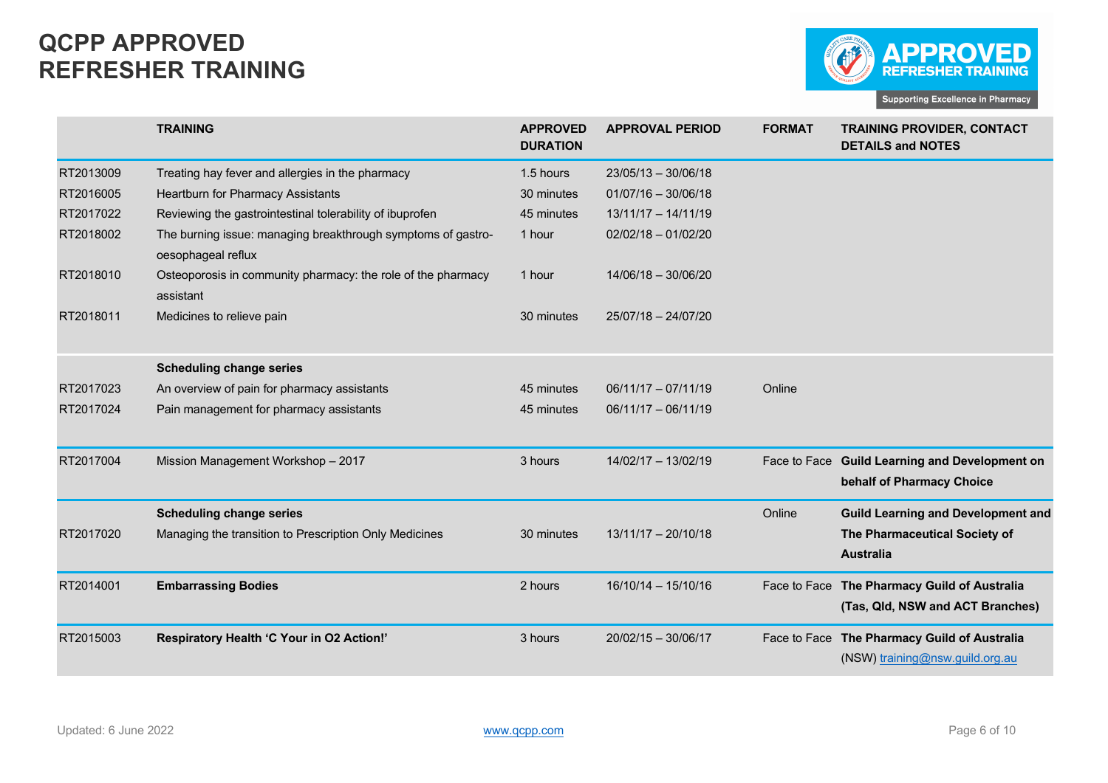

|           | <b>TRAINING</b>                                                                    | <b>APPROVED</b><br><b>DURATION</b> | <b>APPROVAL PERIOD</b> | <b>FORMAT</b> | <b>TRAINING PROVIDER, CONTACT</b><br><b>DETAILS and NOTES</b>                   |
|-----------|------------------------------------------------------------------------------------|------------------------------------|------------------------|---------------|---------------------------------------------------------------------------------|
| RT2013009 | Treating hay fever and allergies in the pharmacy                                   | 1.5 hours                          | $23/05/13 - 30/06/18$  |               |                                                                                 |
| RT2016005 | Heartburn for Pharmacy Assistants                                                  | 30 minutes                         | $01/07/16 - 30/06/18$  |               |                                                                                 |
| RT2017022 | Reviewing the gastrointestinal tolerability of ibuprofen                           | 45 minutes                         | $13/11/17 - 14/11/19$  |               |                                                                                 |
| RT2018002 | The burning issue: managing breakthrough symptoms of gastro-<br>oesophageal reflux | 1 hour                             | $02/02/18 - 01/02/20$  |               |                                                                                 |
| RT2018010 | Osteoporosis in community pharmacy: the role of the pharmacy<br>assistant          | 1 hour                             | 14/06/18 - 30/06/20    |               |                                                                                 |
| RT2018011 | Medicines to relieve pain                                                          | 30 minutes                         | 25/07/18 - 24/07/20    |               |                                                                                 |
|           | <b>Scheduling change series</b>                                                    |                                    |                        |               |                                                                                 |
| RT2017023 | An overview of pain for pharmacy assistants                                        | 45 minutes                         | $06/11/17 - 07/11/19$  | Online        |                                                                                 |
| RT2017024 | Pain management for pharmacy assistants                                            | 45 minutes                         | $06/11/17 - 06/11/19$  |               |                                                                                 |
| RT2017004 | Mission Management Workshop - 2017                                                 | 3 hours                            | 14/02/17 - 13/02/19    | Face to Face  | <b>Guild Learning and Development on</b><br>behalf of Pharmacy Choice           |
|           | <b>Scheduling change series</b>                                                    |                                    |                        | Online        | <b>Guild Learning and Development and</b>                                       |
| RT2017020 | Managing the transition to Prescription Only Medicines                             | 30 minutes                         | $13/11/17 - 20/10/18$  |               | The Pharmaceutical Society of<br><b>Australia</b>                               |
|           |                                                                                    |                                    |                        |               |                                                                                 |
| RT2014001 | <b>Embarrassing Bodies</b>                                                         | 2 hours                            | $16/10/14 - 15/10/16$  | Face to Face  | The Pharmacy Guild of Australia<br>(Tas, Qld, NSW and ACT Branches)             |
|           |                                                                                    |                                    |                        |               |                                                                                 |
| RT2015003 | Respiratory Health 'C Your in O2 Action!'                                          | 3 hours                            | $20/02/15 - 30/06/17$  |               | Face to Face The Pharmacy Guild of Australia<br>(NSW) training@nsw.guild.org.au |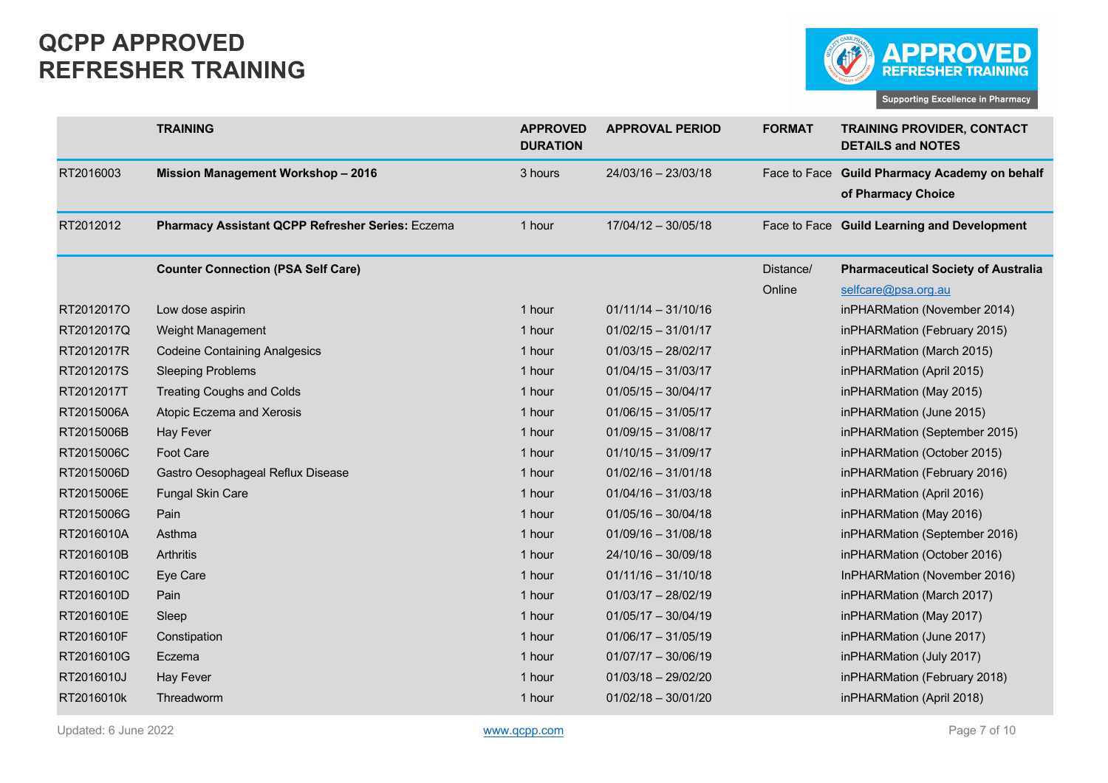

|            | <b>TRAINING</b>                                  | <b>APPROVED</b><br><b>DURATION</b> | <b>APPROVAL PERIOD</b> | <b>FORMAT</b> | <b>TRAINING PROVIDER, CONTACT</b><br><b>DETAILS and NOTES</b>       |
|------------|--------------------------------------------------|------------------------------------|------------------------|---------------|---------------------------------------------------------------------|
| RT2016003  | <b>Mission Management Workshop - 2016</b>        | 3 hours                            | 24/03/16 - 23/03/18    |               | Face to Face Guild Pharmacy Academy on behalf<br>of Pharmacy Choice |
| RT2012012  | Pharmacy Assistant QCPP Refresher Series: Eczema | 1 hour                             | $17/04/12 - 30/05/18$  |               | Face to Face Guild Learning and Development                         |
|            | <b>Counter Connection (PSA Self Care)</b>        |                                    |                        | Distance/     | <b>Pharmaceutical Society of Australia</b>                          |
|            |                                                  |                                    |                        | Online        | selfcare@psa.org.au                                                 |
| RT2012017O | Low dose aspirin                                 | 1 hour                             | $01/11/14 - 31/10/16$  |               | inPHARMation (November 2014)                                        |
| RT2012017Q | Weight Management                                | 1 hour                             | $01/02/15 - 31/01/17$  |               | inPHARMation (February 2015)                                        |
| RT2012017R | <b>Codeine Containing Analgesics</b>             | 1 hour                             | $01/03/15 - 28/02/17$  |               | inPHARMation (March 2015)                                           |
| RT2012017S | <b>Sleeping Problems</b>                         | 1 hour                             | $01/04/15 - 31/03/17$  |               | inPHARMation (April 2015)                                           |
| RT2012017T | <b>Treating Coughs and Colds</b>                 | 1 hour                             | $01/05/15 - 30/04/17$  |               | inPHARMation (May 2015)                                             |
| RT2015006A | Atopic Eczema and Xerosis                        | 1 hour                             | $01/06/15 - 31/05/17$  |               | inPHARMation (June 2015)                                            |
| RT2015006B | <b>Hay Fever</b>                                 | 1 hour                             | $01/09/15 - 31/08/17$  |               | inPHARMation (September 2015)                                       |
| RT2015006C | <b>Foot Care</b>                                 | 1 hour                             | $01/10/15 - 31/09/17$  |               | inPHARMation (October 2015)                                         |
| RT2015006D | Gastro Oesophageal Reflux Disease                | 1 hour                             | $01/02/16 - 31/01/18$  |               | inPHARMation (February 2016)                                        |
| RT2015006E | Fungal Skin Care                                 | 1 hour                             | $01/04/16 - 31/03/18$  |               | inPHARMation (April 2016)                                           |
| RT2015006G | Pain                                             | 1 hour                             | $01/05/16 - 30/04/18$  |               | inPHARMation (May 2016)                                             |
| RT2016010A | Asthma                                           | 1 hour                             | $01/09/16 - 31/08/18$  |               | inPHARMation (September 2016)                                       |
| RT2016010B | Arthritis                                        | 1 hour                             | 24/10/16 - 30/09/18    |               | inPHARMation (October 2016)                                         |
| RT2016010C | Eye Care                                         | 1 hour                             | $01/11/16 - 31/10/18$  |               | InPHARMation (November 2016)                                        |
| RT2016010D | Pain                                             | 1 hour                             | $01/03/17 - 28/02/19$  |               | inPHARMation (March 2017)                                           |
| RT2016010E | Sleep                                            | 1 hour                             | $01/05/17 - 30/04/19$  |               | inPHARMation (May 2017)                                             |
| RT2016010F | Constipation                                     | 1 hour                             | $01/06/17 - 31/05/19$  |               | inPHARMation (June 2017)                                            |
| RT2016010G | Eczema                                           | 1 hour                             | $01/07/17 - 30/06/19$  |               | inPHARMation (July 2017)                                            |
| RT2016010J | <b>Hay Fever</b>                                 | 1 hour                             | $01/03/18 - 29/02/20$  |               | inPHARMation (February 2018)                                        |
| RT2016010k | Threadworm                                       | 1 hour                             | $01/02/18 - 30/01/20$  |               | inPHARMation (April 2018)                                           |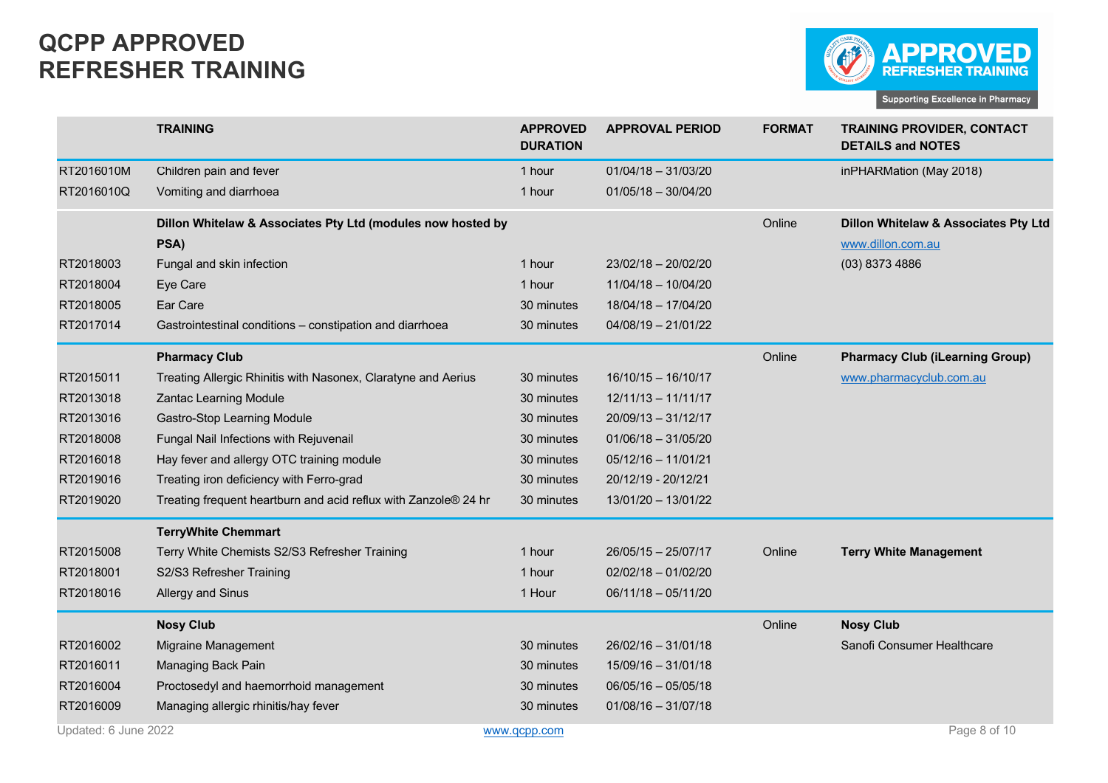

|                      | <b>TRAINING</b>                                                 | <b>APPROVED</b><br><b>DURATION</b> | <b>APPROVAL PERIOD</b> | <b>FORMAT</b> | <b>TRAINING PROVIDER, CONTACT</b><br><b>DETAILS and NOTES</b> |
|----------------------|-----------------------------------------------------------------|------------------------------------|------------------------|---------------|---------------------------------------------------------------|
| RT2016010M           | Children pain and fever                                         | 1 hour                             | $01/04/18 - 31/03/20$  |               | inPHARMation (May 2018)                                       |
| RT2016010Q           | Vomiting and diarrhoea                                          | 1 hour                             | $01/05/18 - 30/04/20$  |               |                                                               |
|                      | Dillon Whitelaw & Associates Pty Ltd (modules now hosted by     |                                    |                        | Online        | Dillon Whitelaw & Associates Pty Ltd                          |
|                      | PSA)                                                            |                                    |                        |               | www.dillon.com.au                                             |
| RT2018003            | Fungal and skin infection                                       | 1 hour                             | 23/02/18 - 20/02/20    |               | (03) 8373 4886                                                |
| RT2018004            | Eye Care                                                        | 1 hour                             | $11/04/18 - 10/04/20$  |               |                                                               |
| RT2018005            | Ear Care                                                        | 30 minutes                         | 18/04/18 - 17/04/20    |               |                                                               |
| RT2017014            | Gastrointestinal conditions - constipation and diarrhoea        | 30 minutes                         | $04/08/19 - 21/01/22$  |               |                                                               |
|                      | <b>Pharmacy Club</b>                                            |                                    |                        | Online        | <b>Pharmacy Club (iLearning Group)</b>                        |
| RT2015011            | Treating Allergic Rhinitis with Nasonex, Claratyne and Aerius   | 30 minutes                         | $16/10/15 - 16/10/17$  |               | www.pharmacyclub.com.au                                       |
| RT2013018            | <b>Zantac Learning Module</b>                                   | 30 minutes                         | $12/11/13 - 11/11/17$  |               |                                                               |
| RT2013016            | Gastro-Stop Learning Module                                     | 30 minutes                         | $20/09/13 - 31/12/17$  |               |                                                               |
| RT2018008            | Fungal Nail Infections with Rejuvenail                          | 30 minutes                         | $01/06/18 - 31/05/20$  |               |                                                               |
| RT2016018            | Hay fever and allergy OTC training module                       | 30 minutes                         | $05/12/16 - 11/01/21$  |               |                                                               |
| RT2019016            | Treating iron deficiency with Ferro-grad                        | 30 minutes                         | 20/12/19 - 20/12/21    |               |                                                               |
| RT2019020            | Treating frequent heartburn and acid reflux with Zanzole® 24 hr | 30 minutes                         | 13/01/20 - 13/01/22    |               |                                                               |
|                      | <b>TerryWhite Chemmart</b>                                      |                                    |                        |               |                                                               |
| RT2015008            | Terry White Chemists S2/S3 Refresher Training                   | 1 hour                             | 26/05/15 - 25/07/17    | Online        | <b>Terry White Management</b>                                 |
| RT2018001            | S2/S3 Refresher Training                                        | 1 hour                             | $02/02/18 - 01/02/20$  |               |                                                               |
| RT2018016            | Allergy and Sinus                                               | 1 Hour                             | $06/11/18 - 05/11/20$  |               |                                                               |
|                      | <b>Nosy Club</b>                                                |                                    |                        | Online        | <b>Nosy Club</b>                                              |
| RT2016002            | Migraine Management                                             | 30 minutes                         | $26/02/16 - 31/01/18$  |               | Sanofi Consumer Healthcare                                    |
| RT2016011            | Managing Back Pain                                              | 30 minutes                         | 15/09/16 - 31/01/18    |               |                                                               |
| RT2016004            | Proctosedyl and haemorrhoid management                          | 30 minutes                         | $06/05/16 - 05/05/18$  |               |                                                               |
| RT2016009            | Managing allergic rhinitis/hay fever                            | 30 minutes                         | $01/08/16 - 31/07/18$  |               |                                                               |
| Updated: 6 June 2022 |                                                                 | www.gcpp.com                       |                        |               | Page 8 of 10                                                  |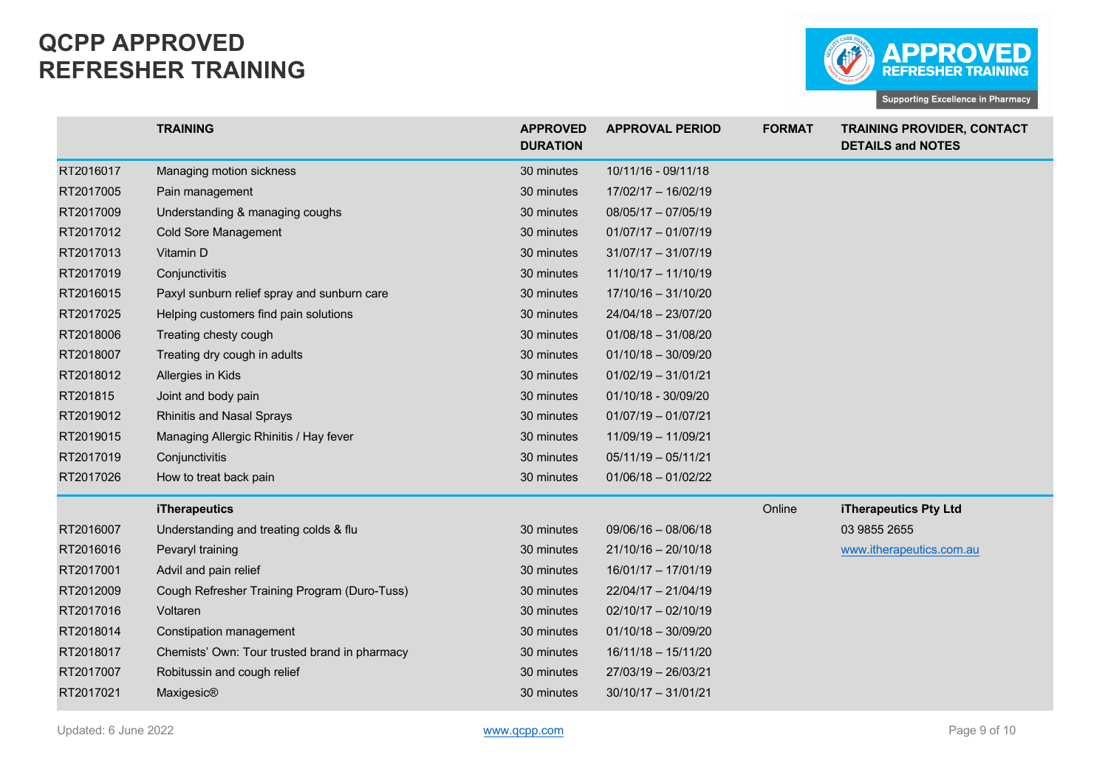

|           | <b>TRAINING</b>                               | <b>APPROVED</b><br><b>DURATION</b> | <b>APPROVAL PERIOD</b> | <b>FORMAT</b> | <b>TRAINING PROVIDER, CONTACT</b><br><b>DETAILS and NOTES</b> |
|-----------|-----------------------------------------------|------------------------------------|------------------------|---------------|---------------------------------------------------------------|
| RT2016017 | Managing motion sickness                      | 30 minutes                         | 10/11/16 - 09/11/18    |               |                                                               |
| RT2017005 | Pain management                               | 30 minutes                         | 17/02/17 - 16/02/19    |               |                                                               |
| RT2017009 | Understanding & managing coughs               | 30 minutes                         | 08/05/17 - 07/05/19    |               |                                                               |
| RT2017012 | <b>Cold Sore Management</b>                   | 30 minutes                         | $01/07/17 - 01/07/19$  |               |                                                               |
| RT2017013 | Vitamin D                                     | 30 minutes                         | $31/07/17 - 31/07/19$  |               |                                                               |
| RT2017019 | Conjunctivitis                                | 30 minutes                         | $11/10/17 - 11/10/19$  |               |                                                               |
| RT2016015 | Paxyl sunburn relief spray and sunburn care   | 30 minutes                         | 17/10/16 - 31/10/20    |               |                                                               |
| RT2017025 | Helping customers find pain solutions         | 30 minutes                         | 24/04/18 - 23/07/20    |               |                                                               |
| RT2018006 | Treating chesty cough                         | 30 minutes                         | $01/08/18 - 31/08/20$  |               |                                                               |
| RT2018007 | Treating dry cough in adults                  | 30 minutes                         | $01/10/18 - 30/09/20$  |               |                                                               |
| RT2018012 | Allergies in Kids                             | 30 minutes                         | $01/02/19 - 31/01/21$  |               |                                                               |
| RT201815  | Joint and body pain                           | 30 minutes                         | 01/10/18 - 30/09/20    |               |                                                               |
| RT2019012 | <b>Rhinitis and Nasal Sprays</b>              | 30 minutes                         | $01/07/19 - 01/07/21$  |               |                                                               |
| RT2019015 | Managing Allergic Rhinitis / Hay fever        | 30 minutes                         | 11/09/19 - 11/09/21    |               |                                                               |
| RT2017019 | Conjunctivitis                                | 30 minutes                         | $05/11/19 - 05/11/21$  |               |                                                               |
| RT2017026 | How to treat back pain                        | 30 minutes                         | $01/06/18 - 01/02/22$  |               |                                                               |
|           | <b>iTherapeutics</b>                          |                                    |                        | Online        | iTherapeutics Pty Ltd                                         |
| RT2016007 | Understanding and treating colds & flu        | 30 minutes                         | $09/06/16 - 08/06/18$  |               | 03 9855 2655                                                  |
| RT2016016 | Pevaryl training                              | 30 minutes                         | $21/10/16 - 20/10/18$  |               | www.itherapeutics.com.au                                      |
| RT2017001 | Advil and pain relief                         | 30 minutes                         | 16/01/17 - 17/01/19    |               |                                                               |
| RT2012009 | Cough Refresher Training Program (Duro-Tuss)  | 30 minutes                         | 22/04/17 - 21/04/19    |               |                                                               |
| RT2017016 | Voltaren                                      | 30 minutes                         | $02/10/17 - 02/10/19$  |               |                                                               |
| RT2018014 | Constipation management                       | 30 minutes                         | $01/10/18 - 30/09/20$  |               |                                                               |
| RT2018017 | Chemists' Own: Tour trusted brand in pharmacy | 30 minutes                         | $16/11/18 - 15/11/20$  |               |                                                               |
| RT2017007 | Robitussin and cough relief                   | 30 minutes                         | 27/03/19 - 26/03/21    |               |                                                               |
| RT2017021 | Maxigesic®                                    | 30 minutes                         | $30/10/17 - 31/01/21$  |               |                                                               |